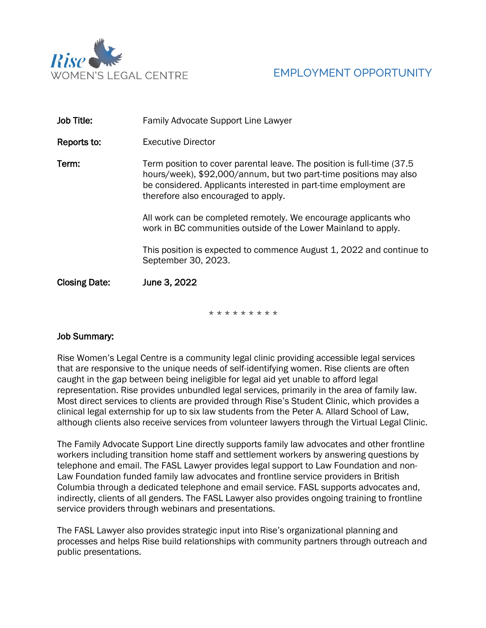

| Job Title:           | <b>Family Advocate Support Line Lawyer</b>                                                                                                                                                                                                              |
|----------------------|---------------------------------------------------------------------------------------------------------------------------------------------------------------------------------------------------------------------------------------------------------|
| Reports to:          | Executive Director                                                                                                                                                                                                                                      |
| Term:                | Term position to cover parental leave. The position is full-time (37.5)<br>hours/week), \$92,000/annum, but two part-time positions may also<br>be considered. Applicants interested in part-time employment are<br>therefore also encouraged to apply. |
|                      | All work can be completed remotely. We encourage applicants who<br>work in BC communities outside of the Lower Mainland to apply.                                                                                                                       |
|                      | This position is expected to commence August 1, 2022 and continue to<br>September 30, 2023.                                                                                                                                                             |
| <b>Closing Date:</b> | June 3, 2022                                                                                                                                                                                                                                            |

\* \* \* \* \* \* \* \* \*

# Job Summary:

Rise Women's Legal Centre is a community legal clinic providing accessible legal services that are responsive to the unique needs of self-identifying women. Rise clients are often caught in the gap between being ineligible for legal aid yet unable to afford legal representation. Rise provides unbundled legal services, primarily in the area of family law. Most direct services to clients are provided through Rise's Student Clinic, which provides a clinical legal externship for up to six law students from the Peter A. Allard School of Law, although clients also receive services from volunteer lawyers through the Virtual Legal Clinic.

The Family Advocate Support Line directly supports family law advocates and other frontline workers including transition home staff and settlement workers by answering questions by telephone and email. The FASL Lawyer provides legal support to Law Foundation and non-Law Foundation funded family law advocates and frontline service providers in British Columbia through a dedicated telephone and email service. FASL supports advocates and, indirectly, clients of all genders. The FASL Lawyer also provides ongoing training to frontline service providers through webinars and presentations.

The FASL Lawyer also provides strategic input into Rise's organizational planning and processes and helps Rise build relationships with community partners through outreach and public presentations.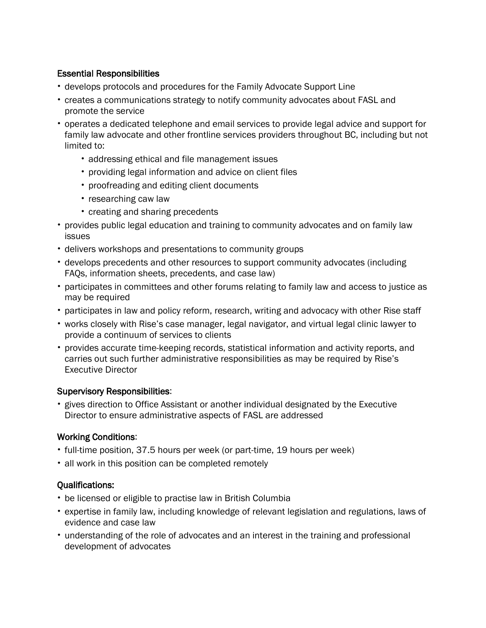## Essential Responsibilities

- develops protocols and procedures for the Family Advocate Support Line
- creates a communications strategy to notify community advocates about FASL and promote the service
- operates a dedicated telephone and email services to provide legal advice and support for family law advocate and other frontline services providers throughout BC, including but not limited to:
	- addressing ethical and file management issues
	- providing legal information and advice on client files
	- proofreading and editing client documents
	- researching caw law
	- creating and sharing precedents
- provides public legal education and training to community advocates and on family law issues
- delivers workshops and presentations to community groups
- develops precedents and other resources to support community advocates (including FAQs, information sheets, precedents, and case law)
- participates in committees and other forums relating to family law and access to justice as may be required
- participates in law and policy reform, research, writing and advocacy with other Rise staff
- works closely with Rise's case manager, legal navigator, and virtual legal clinic lawyer to provide a continuum of services to clients
- provides accurate time-keeping records, statistical information and activity reports, and carries out such further administrative responsibilities as may be required by Rise's Executive Director

## Supervisory Responsibilities:

• gives direction to Office Assistant or another individual designated by the Executive Director to ensure administrative aspects of FASL are addressed

# Working Conditions:

- full-time position, 37.5 hours per week (or part-time, 19 hours per week)
- all work in this position can be completed remotely

## Qualifications:

- be licensed or eligible to practise law in British Columbia
- expertise in family law, including knowledge of relevant legislation and regulations, laws of evidence and case law
- understanding of the role of advocates and an interest in the training and professional development of advocates